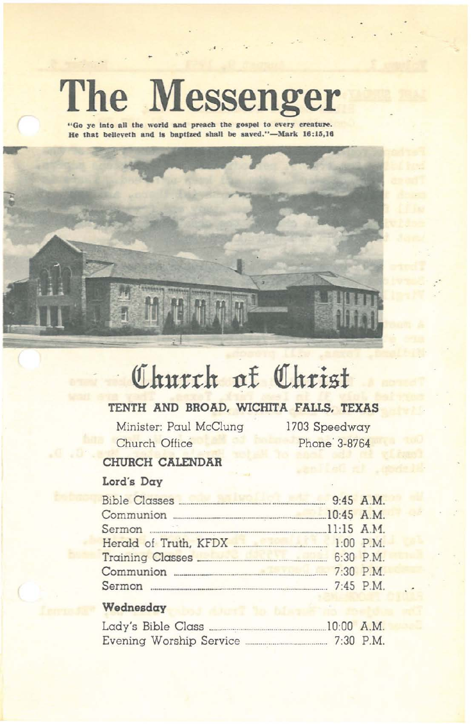# **The Messenger**

**"Go ye Into all the world and preaeb the cospel to every ereatur<e.** He that **believeth** and is **baptized** shall be saved."-Mark  $16:15,16$ 



## **(11hu:rrh llf QIh:risf**

#### **TENTH AND BROAD. WICHITA FAllS. TEXAS**

Minister: Paul McClung 1703 Speedway Church Office Phone 3-8764

#### **CHURCH CALENDAR**

#### Lord's **Day**

| Bible Classes 3.45 A.M. |  |
|-------------------------|--|
| Communion 20:45 A.M.    |  |
|                         |  |
|                         |  |
|                         |  |
| Communion 2:30 P.M.     |  |
|                         |  |

#### **Wednesday**

| Lady's Bible Class |  |                         |  | $10:00$ A.M. |
|--------------------|--|-------------------------|--|--------------|
|                    |  | Evening Worship Service |  | 7:30 P.M.    |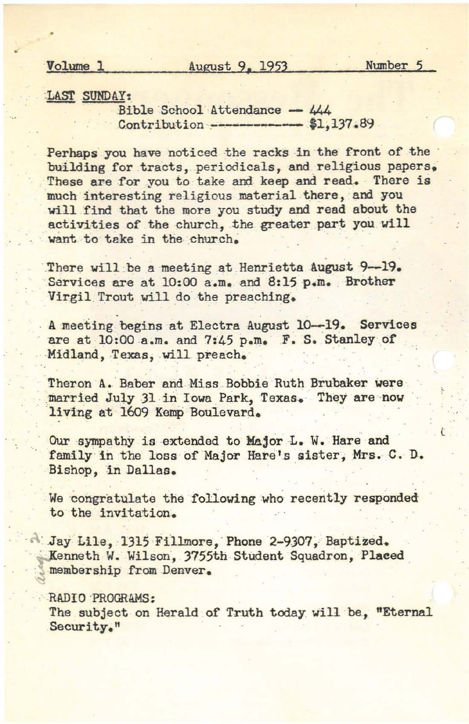.'

l

LAST SUNDAY:

Bible School Attendance -- 444 Contribution ------------- \$1,137.89

Perhaps you have noticed the racks in the front of the building for tracts, periodicals, and religious papers, These are for you to take and keep and read. There is much interesting religious material there, and you will find that the more you study and read about the activities of the church, the greater part you will want to take in the church.

There will be a meeting at Henrietta August 9-19. Services are at 10:00 a.m. and 8:15 p.m. Brother Virgil Trout will do the preaching.

A meeting begins at Electra August 10-19. Services are at 10:00 a.m. and 7:45 p.m. F. S. Stanley of Midland, Texas; will preach.

Theron A. Baber and Miss Bobbie Ruth Brubaker were married July 31 in Iowa Park, Texas. They are now living at 1609 Kemp Boulevard.

Our sympathy is extended to Major L. W. Hare and family in the loss of Major Hare's sister, Mrs. C. D. Bishop, in Dallas.

We congratulate the following who recently responded to the invitation.

Jay Lile, 1315 Fillmore, Phone 2-9307, Baptized. Kenneth W. Wilson, 3755th Student Squadron, Placed membership from Denver.

#### .. RADIO 'PROGRAMS:

The subject on Herald of Truth today will be. "Eternal .Security."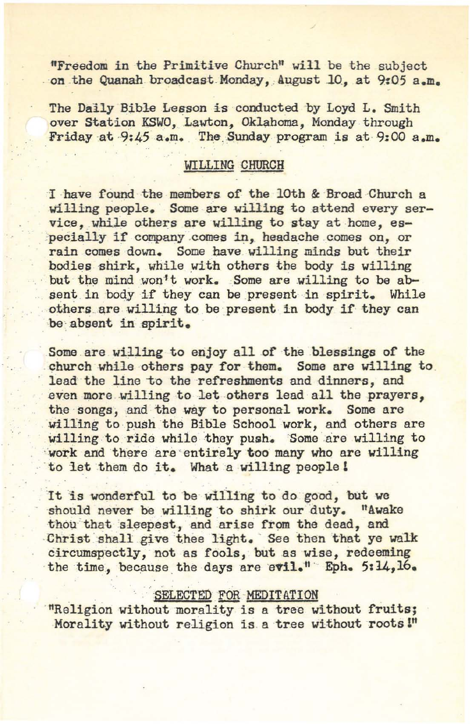"Freedom in the Primitive Church" will be the subject on the Quanah broadcast Monday, August 10, at 9:05 a.m.

The Daily Bible Lesson is conducted by Loyd L. Smith over Station KSWO, Lawton, Oklahoma, Monday through Friday at  $9:45$  a.m. The Sunday program is at  $9:00$  a.m.

#### WILLING CHURCH

I have found the members of the lOth & Broad Church a willing people. Some are willing to attend every service. while others are willing to stay at home, especially if company comes in, headache comes on, or rain comes down. Some have willing minds but their bodies shirk, while with others the body is willing but the mind won't work. Some are willing to be absent in body if they can be present in spirit. While others are willing to be present in body if they can be absent in spirit.

Some are willing to enjoy all of the blessings of the church while others pay for them. Some are willing to lead the line to the refreshments and dinners, and even more willing to let others lead all the prayers. the songs, and the way to personal work. Some are willing to push the Bible School work, and others are willing to ride while they push. Some are willing to work and there are entirely too many who are willing to let them do it. What a willing people!

It is wonderful to be willing to do good, but we should never be willing to shirk our duty. "Awake thou that sleepest, and arise from the dead, and Christ shall give thee light. See then that ye walk circumspectly, not as fools, but as wise, redeeming the time, because the days are evil." Eph. 5:14,16.

#### SELECTED FOR MEDITATION

'''Religion without morality is a tree without fruits; Morality without religion is a tree without roots!"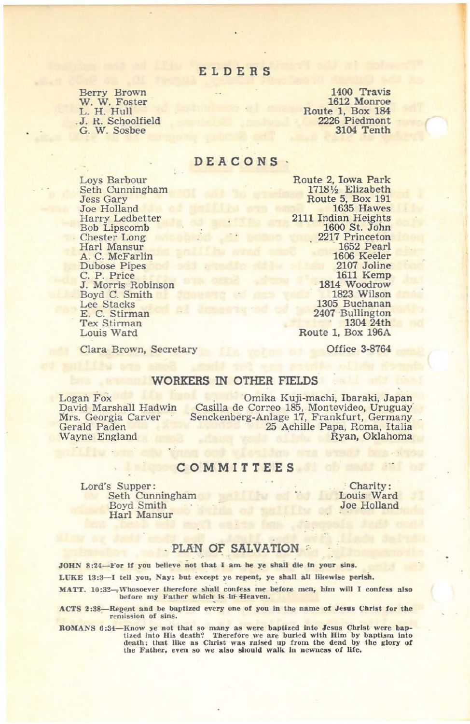#### ELDERS

Berry Brown W. W. Foster L. H. Hull<br>J. R. Schoolfield G. W. Sosbee

1400 Travis 1612 Monroe Route 1, Box 184 2226 Piedmont 3104 Tenth

#### **DEACONS**

Loys Barbour Seth Cunningham Jess Gary Joe Holland Harry Ledbetter Bob Lipscomb Chester Long Harl Mansur A. C. McFarlin Dubose Pipes C. P. Price J. Morris Robinson Boyd C. Smith Lee Stacks E. C. Stirman<br>Tex Stirman Louis Watd

Route 2, Iowa Park 1718½ Elizabeth Route 5, Box 191 1635 Hawes 2111 Indian Heights 1600 St. John 2217 Princeton<br>1652 Pearl 1606 Keeler 2107 Joline 1611 Kemp 1814 Woodrow 1823 Wilson 1305 Buchanan 2407 Bullington 1304 24th

Clara Brown, Secretary

Office 3-8764

Route I, Box 196A

#### WORKERS IN OTHER FIELDS

Logan Fox David Marshall Hadwin Mrs. Georgia Carver Gerald Paden Wayne England

Omika Kuji-machi, Ibaraki, Japan Casilla de Correa 185, Montevideo, UruguaY Senckenberg-Anlage 17, Frankfurt, Germany 25 Achille Papa, Roma, Italia<br>Ryan, Oklahoma

#### COMMITTEES

Lord's Supper: Seth Cunningham Boyd Smith Harl Mansur

: Charity: Louis Ward Joe Holland

#### . PLAN OF SALVATION

JOHN 8:24-For if you believe not that I am he ye shall die in your sins.

LUKE 13:3-I tell you, Nay: but except ye repent, ye shall all likewise perish.

MATT. 10:32-Whosoever therefore shall confess me before men, him will I confess also before my Father which is lif- Heaven.

ACTS 2:38-Repent and be baptized every one of you in the name of Jesus Christ for the remission of sins.

ROMANS 6:34—Know ye not that so many as were baptized into Jesus Christ were baptized into His death? Therefore we are buried with Him by baptism into death; that like as Christ was raised up from the dead by the glory of